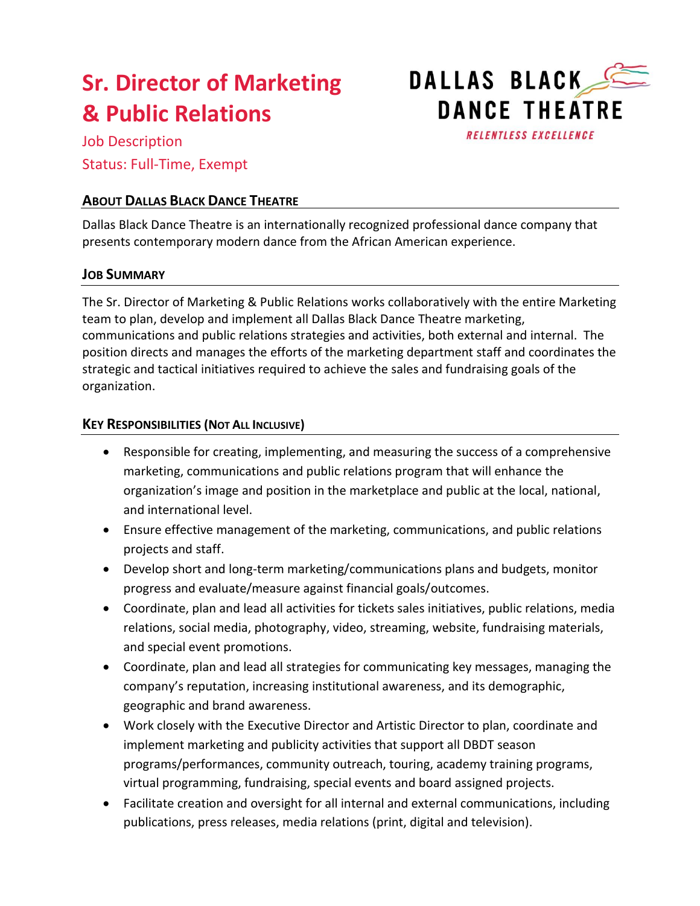# **Sr. Director of Marketing & Public Relations**

DALLAS BLACK **DANCE THEATRE RELENTLESS EXCELLENCE** 

Job Description Status: Full-Time, Exempt

## **ABOUT DALLAS BLACK DANCE THEATRE**

Dallas Black Dance Theatre is an internationally recognized professional dance company that presents contemporary modern dance from the African American experience.

## **JOB SUMMARY**

The Sr. Director of Marketing & Public Relations works collaboratively with the entire Marketing team to plan, develop and implement all Dallas Black Dance Theatre marketing, communications and public relations strategies and activities, both external and internal. The position directs and manages the efforts of the marketing department staff and coordinates the strategic and tactical initiatives required to achieve the sales and fundraising goals of the organization.

### **KEY RESPONSIBILITIES (NOT ALL INCLUSIVE)**

- Responsible for creating, implementing, and measuring the success of a comprehensive marketing, communications and public relations program that will enhance the organization's image and position in the marketplace and public at the local, national, and international level.
- Ensure effective management of the marketing, communications, and public relations projects and staff.
- Develop short and long-term marketing/communications plans and budgets, monitor progress and evaluate/measure against financial goals/outcomes.
- Coordinate, plan and lead all activities for tickets sales initiatives, public relations, media relations, social media, photography, video, streaming, website, fundraising materials, and special event promotions.
- Coordinate, plan and lead all strategies for communicating key messages, managing the company's reputation, increasing institutional awareness, and its demographic, geographic and brand awareness.
- Work closely with the Executive Director and Artistic Director to plan, coordinate and implement marketing and publicity activities that support all DBDT season programs/performances, community outreach, touring, academy training programs, virtual programming, fundraising, special events and board assigned projects.
- Facilitate creation and oversight for all internal and external communications, including publications, press releases, media relations (print, digital and television).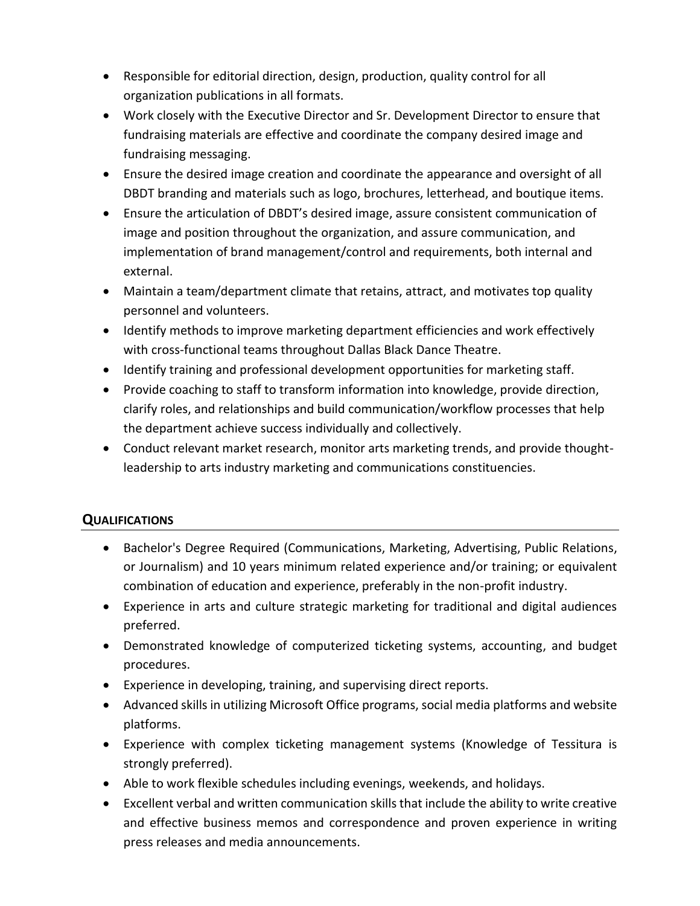- Responsible for editorial direction, design, production, quality control for all organization publications in all formats.
- Work closely with the Executive Director and Sr. Development Director to ensure that fundraising materials are effective and coordinate the company desired image and fundraising messaging.
- Ensure the desired image creation and coordinate the appearance and oversight of all DBDT branding and materials such as logo, brochures, letterhead, and boutique items.
- Ensure the articulation of DBDT's desired image, assure consistent communication of image and position throughout the organization, and assure communication, and implementation of brand management/control and requirements, both internal and external.
- Maintain a team/department climate that retains, attract, and motivates top quality personnel and volunteers.
- Identify methods to improve marketing department efficiencies and work effectively with cross-functional teams throughout Dallas Black Dance Theatre.
- Identify training and professional development opportunities for marketing staff.
- Provide coaching to staff to transform information into knowledge, provide direction, clarify roles, and relationships and build communication/workflow processes that help the department achieve success individually and collectively.
- Conduct relevant market research, monitor arts marketing trends, and provide thoughtleadership to arts industry marketing and communications constituencies.

## **QUALIFICATIONS**

- Bachelor's Degree Required (Communications, Marketing, Advertising, Public Relations, or Journalism) and 10 years minimum related experience and/or training; or equivalent combination of education and experience, preferably in the non-profit industry.
- Experience in arts and culture strategic marketing for traditional and digital audiences preferred.
- Demonstrated knowledge of computerized ticketing systems, accounting, and budget procedures.
- Experience in developing, training, and supervising direct reports.
- Advanced skills in utilizing Microsoft Office programs, social media platforms and website platforms.
- Experience with complex ticketing management systems (Knowledge of Tessitura is strongly preferred).
- Able to work flexible schedules including evenings, weekends, and holidays.
- Excellent verbal and written communication skills that include the ability to write creative and effective business memos and correspondence and proven experience in writing press releases and media announcements.